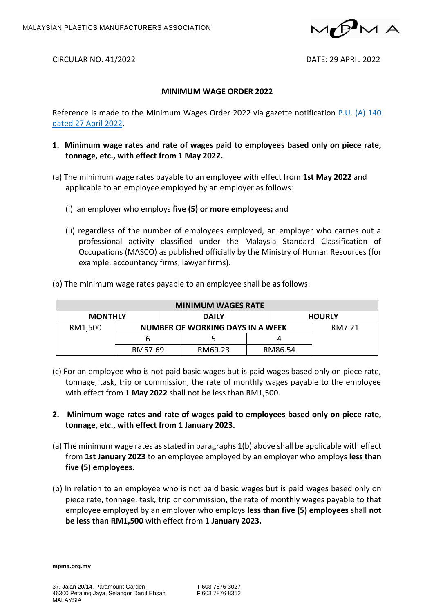

CIRCULAR NO. 41/2022 DATE: 29 APRIL 2022

## **MINIMUM WAGE ORDER 2022**

Reference is made to the Minimum Wages Order 2022 via gazette notification  $P.U. (A) 140$ dated 27 [April 2022.](https://mpma.org.my/upload/PUA_140_2022.pdf)

- **1. Minimum wage rates and rate of wages paid to employees based only on piece rate, tonnage, etc., with effect from 1 May 2022.**
- (a) The minimum wage rates payable to an employee with effect from **1st May 2022** and applicable to an employee employed by an employer as follows:
	- (i) an employer who employs **five (5) or more employees;** and
	- (ii) regardless of the number of employees employed, an employer who carries out a professional activity classified under the Malaysia Standard Classification of Occupations (MASCO) as published officially by the Ministry of Human Resources (for example, accountancy firms, lawyer firms).

| <b>MINIMUM WAGES RATE</b> |                                  |              |         |               |         |  |  |
|---------------------------|----------------------------------|--------------|---------|---------------|---------|--|--|
| <b>MONTHLY</b>            |                                  | <b>DAILY</b> |         | <b>HOURLY</b> |         |  |  |
| RM1,500                   | NUMBER OF WORKING DAYS IN A WEEK |              |         |               | RM7.21  |  |  |
|                           | n                                |              |         |               |         |  |  |
|                           | RM57.69                          |              | RM69.23 |               | RM86.54 |  |  |

(b) The minimum wage rates payable to an employee shall be as follows:

- (c) For an employee who is not paid basic wages but is paid wages based only on piece rate, tonnage, task, trip or commission, the rate of monthly wages payable to the employee with effect from **1 May 2022** shall not be less than RM1,500.
- **2. Minimum wage rates and rate of wages paid to employees based only on piece rate, tonnage, etc., with effect from 1 January 2023.**
- (a) The minimum wage rates as stated in paragraphs 1(b) above shall be applicable with effect from **1st January 2023** to an employee employed by an employer who employs **less than five (5) employees**.
- (b) In relation to an employee who is not paid basic wages but is paid wages based only on piece rate, tonnage, task, trip or commission, the rate of monthly wages payable to that employee employed by an employer who employs **less than five (5) employees** shall **not be less than RM1,500** with effect from **1 January 2023.**

**mpma.org.my**